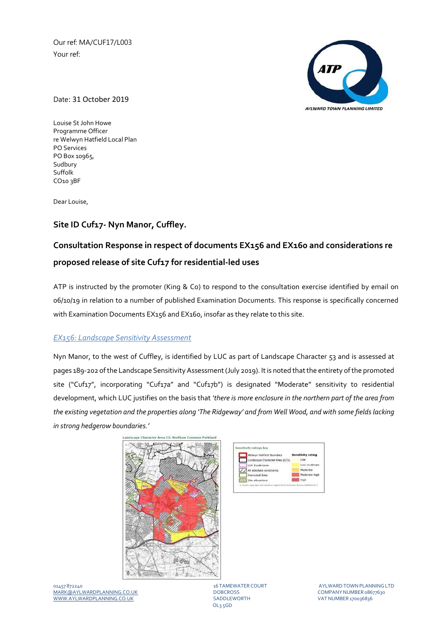Our ref: MA/CUF17/L003 Your ref:



Date: 31 October 2019

Louise St John Howe Programme Officer re Welwyn Hatfield Local Plan PO Services PO Box 10965, Sudbury Suffolk CO10 3BF

Dear Louise,

## **Site ID Cuf17‐ Nyn Manor, Cuffley.**

# **Consultation Response in respect of documents EX156 and EX160 and considerations re proposed release of site Cuf17 for residential‐led uses**

ATP is instructed by the promoter (King & Co) to respond to the consultation exercise identified by email on 06/10/19 in relation to a number of published Examination Documents. This response is specifically concerned with Examination Documents EX156 and EX160, insofar as they relate to this site.

### *EX156: Landscape Sensitivity Assessment*

Nyn Manor, to the west of Cuffley, is identified by LUC as part of Landscape Character 53 and is assessed at pages 189-202 of the Landscape Sensitivity Assessment (July 2019). It is noted that the entirety of the promoted site ("Cuf17", incorporating "Cuf17a" and "Cuf17b") is designated "Moderate" sensitivity to residential development, which LUC justifies on the basis that *'there is more enclosure in the northern part of the area from* the existing vegetation and the properties along 'The Ridgeway' and from Well Wood, and with some fields lacking *in strong hedgerow boundaries.'* 





01457 872240 16 TAMEWATER COURT AYLWARDTOWNPLANNINGLTD MARK@AYLWARDPLANNING.CO.UK DOBCROSS COMPANYNUMBER 08677630 WWW.AYLWARDPLANNING.CO.UK

OL3 5GD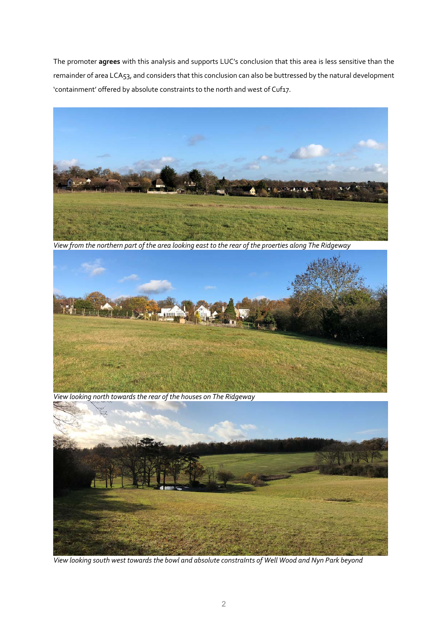The promoter **agrees** with this analysis and supports LUC's conclusion that this area is less sensitive than the remainder of area LCA53, and considers that this conclusion can also be buttressed by the natural development 'containment' offered by absolute constraints to the north and west of Cuf17.



View from the northern part of the area looking east to the rear of the proerties along The Ridgeway



 *View looking north towards the rear of the houses on The Ridgeway*



View looking south west towards the bowl and absolute constraints of Well Wood and Nyn Park beyond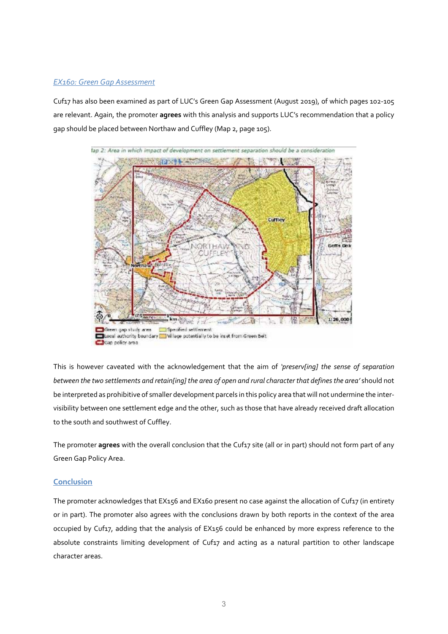#### *EX160: Green Gap Assessment*

Cuf17 has also been examined as part of LUC's Green Gap Assessment (August 2019), of which pages 102-105 are relevant. Again, the promoter **agrees** with this analysis and supports LUC's recommendation that a policy gap should be placed between Northaw and Cuffley (Map 2, page 105).



This is however caveated with the acknowledgement that the aim of *'preserv[ing] the sense of separation* between the two settlements and retain[ing] the area of open and rural character that defines the area' should not be interpreted as prohibitive of smaller development parcels in this policy area that will not undermine the intervisibility between one settlement edge and the other, such as those that have already received draft allocation to the south and southwest of Cuffley.

The promoter **agrees** with the overall conclusion that the Cuf17 site (all or in part) should not form part of any Green Gap Policy Area.

#### **Conclusion**

The promoter acknowledges that EX156 and EX160 present no case against the allocation of Cuf17 (in entirety or in part). The promoter also agrees with the conclusions drawn by both reports in the context of the area occupied by Cuf17, adding that the analysis of EX156 could be enhanced by more express reference to the absolute constraints limiting development of Cuf17 and acting as a natural partition to other landscape character areas.